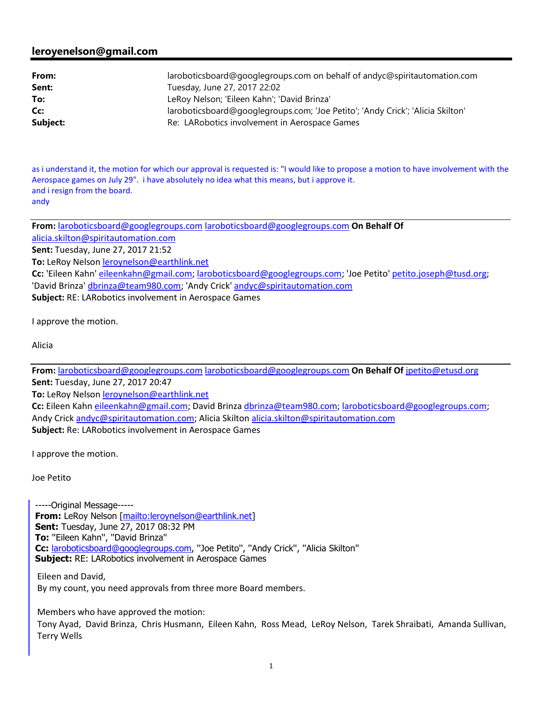## **leroyenelson@gmail.com**

| From:    | laroboticsboard@googlegroups.com on behalf of andyc@spiritautomation.com       |
|----------|--------------------------------------------------------------------------------|
| Sent:    | Tuesday, June 27, 2017 22:02                                                   |
| To:      | LeRoy Nelson; 'Eileen Kahn'; 'David Brinza'                                    |
| Cc:      | laroboticsboard@googlegroups.com; 'Joe Petito'; 'Andy Crick'; 'Alicia Skilton' |
| Subject: | Re: LARobotics involvement in Aerospace Games                                  |

as i understand it, the motion for which our approval is requested is: "I would like to propose a motion to have involvement with the Aerospace games on July 29". i have absolutely no idea what this means, but i approve it. and i resign from the board. andy

**From:** laroboticsboard@googlegroups.com laroboticsboard@googlegroups.com **On Behalf Of**  alicia.skilton@spiritautomation.com **Sent:** Tuesday, June 27, 2017 21:52 **To:** LeRoy Nelson leroynelson@earthlink.net **Cc:** 'Eileen Kahn' eileenkahn@gmail.com; laroboticsboard@googlegroups.com; 'Joe Petito' petito.joseph@tusd.org; 'David Brinza' dbrinza@team980.com; 'Andy Crick' andyc@spiritautomation.com **Subject:** RE: LARobotics involvement in Aerospace Games

I approve the motion.

Alicia

**From:** laroboticsboard@googlegroups.com laroboticsboard@googlegroups.com **On Behalf Of** jpetito@etusd.org **Sent:** Tuesday, June 27, 2017 20:47

To: LeRoy Nelson **leroynelson@earthlink.net** 

**Cc:** Eileen Kahn eileenkahn@gmail.com; David Brinza dbrinza@team980.com; laroboticsboard@googlegroups.com; Andy Crick andyc@spiritautomation.com; Alicia Skilton alicia.skilton@spiritautomation.com **Subject:** Re: LARobotics involvement in Aerospace Games

I approve the motion.

Joe Petito

-----Original Message----- **From:** LeRoy Nelson [mailto:leroynelson@earthlink.net] **Sent:** Tuesday, June 27, 2017 08:32 PM **To:** ''Eileen Kahn'', ''David Brinza'' **Cc:** laroboticsboard@googlegroups.com, ''Joe Petito'', ''Andy Crick'', ''Alicia Skilton'' **Subject:** RE: LARobotics involvement in Aerospace Games

Eileen and David, By my count, you need approvals from three more Board members.

Members who have approved the motion: Tony Ayad, David Brinza, Chris Husmann, Eileen Kahn, Ross Mead, LeRoy Nelson, Tarek Shraibati, Amanda Sullivan, Terry Wells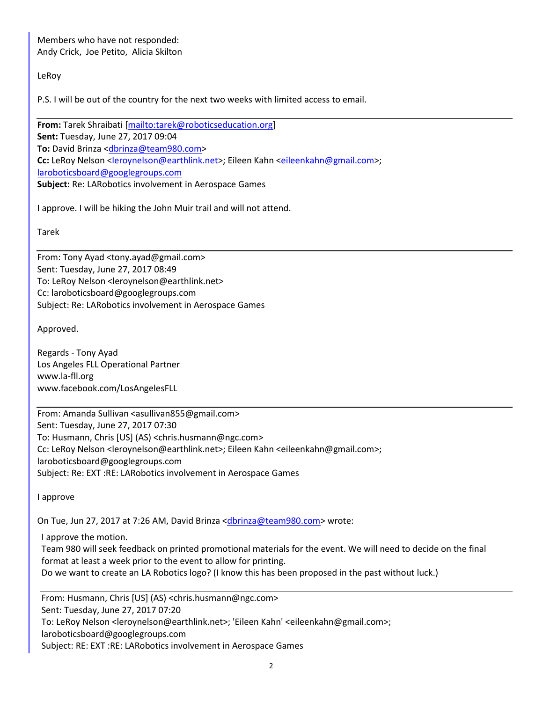Members who have not responded: Andy Crick, Joe Petito, Alicia Skilton

## LeRoy

P.S. I will be out of the country for the next two weeks with limited access to email.

**From:** Tarek Shraibati [mailto:tarek@roboticseducation.org] **Sent:** Tuesday, June 27, 2017 09:04 **To:** David Brinza <dbrinza@team980.com> **Cc:** LeRoy Nelson <leroynelson@earthlink.net>; Eileen Kahn <eileenkahn@gmail.com>; laroboticsboard@googlegroups.com **Subject:** Re: LARobotics involvement in Aerospace Games

I approve. I will be hiking the John Muir trail and will not attend.

Tarek

From: Tony Ayad <tony.ayad@gmail.com> Sent: Tuesday, June 27, 2017 08:49 To: LeRoy Nelson <leroynelson@earthlink.net> Cc: laroboticsboard@googlegroups.com Subject: Re: LARobotics involvement in Aerospace Games

Approved.

Regards - Tony Ayad Los Angeles FLL Operational Partner www.la-fll.org www.facebook.com/LosAngelesFLL

From: Amanda Sullivan <asullivan855@gmail.com> Sent: Tuesday, June 27, 2017 07:30 To: Husmann, Chris [US] (AS) <chris.husmann@ngc.com> Cc: LeRoy Nelson <leroynelson@earthlink.net>; Eileen Kahn <eileenkahn@gmail.com>; laroboticsboard@googlegroups.com Subject: Re: EXT :RE: LARobotics involvement in Aerospace Games

I approve

On Tue, Jun 27, 2017 at 7:26 AM, David Brinza <dbrinza@team980.com> wrote:

I approve the motion.

Team 980 will seek feedback on printed promotional materials for the event. We will need to decide on the final format at least a week prior to the event to allow for printing.

Do we want to create an LA Robotics logo? (I know this has been proposed in the past without luck.)

From: Husmann, Chris [US] (AS) <chris.husmann@ngc.com> Sent: Tuesday, June 27, 2017 07:20 To: LeRoy Nelson <leroynelson@earthlink.net>; 'Eileen Kahn' <eileenkahn@gmail.com>; laroboticsboard@googlegroups.com Subject: RE: EXT :RE: LARobotics involvement in Aerospace Games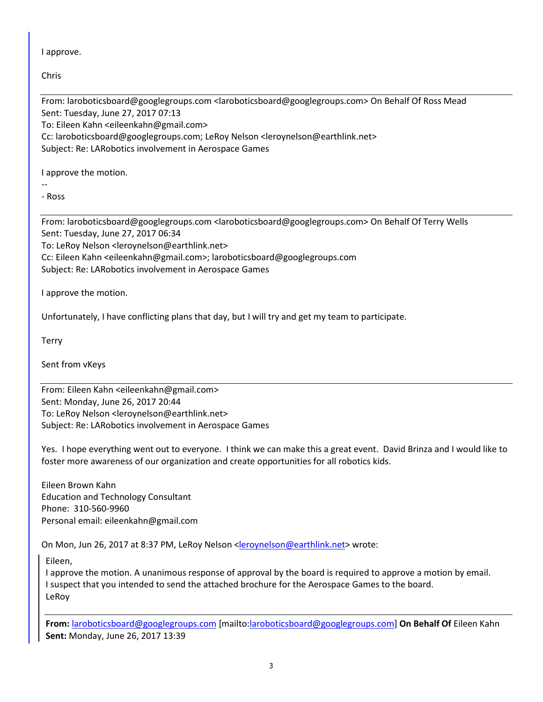I approve.

Chris

From: laroboticsboard@googlegroups.com <laroboticsboard@googlegroups.com> On Behalf Of Ross Mead Sent: Tuesday, June 27, 2017 07:13 To: Eileen Kahn <eileenkahn@gmail.com> Cc: laroboticsboard@googlegroups.com; LeRoy Nelson <leroynelson@earthlink.net> Subject: Re: LARobotics involvement in Aerospace Games

I approve the motion.

-- - Ross

From: laroboticsboard@googlegroups.com <laroboticsboard@googlegroups.com> On Behalf Of Terry Wells Sent: Tuesday, June 27, 2017 06:34

To: LeRoy Nelson <leroynelson@earthlink.net>

Cc: Eileen Kahn <eileenkahn@gmail.com>; laroboticsboard@googlegroups.com

Subject: Re: LARobotics involvement in Aerospace Games

I approve the motion.

Unfortunately, I have conflicting plans that day, but I will try and get my team to participate.

**Terry** 

Sent from vKeys

From: Eileen Kahn <eileenkahn@gmail.com> Sent: Monday, June 26, 2017 20:44 To: LeRoy Nelson <leroynelson@earthlink.net> Subject: Re: LARobotics involvement in Aerospace Games

Yes. I hope everything went out to everyone. I think we can make this a great event. David Brinza and I would like to foster more awareness of our organization and create opportunities for all robotics kids.

Eileen Brown Kahn Education and Technology Consultant Phone: 310-560-9960 Personal email: eileenkahn@gmail.com

On Mon, Jun 26, 2017 at 8:37 PM, LeRoy Nelson <leroynelson@earthlink.net> wrote:

Eileen,

I approve the motion. A unanimous response of approval by the board is required to approve a motion by email. I suspect that you intended to send the attached brochure for the Aerospace Games to the board. LeRoy

**From:** laroboticsboard@googlegroups.com [mailto:laroboticsboard@googlegroups.com] **On Behalf Of** Eileen Kahn **Sent:** Monday, June 26, 2017 13:39